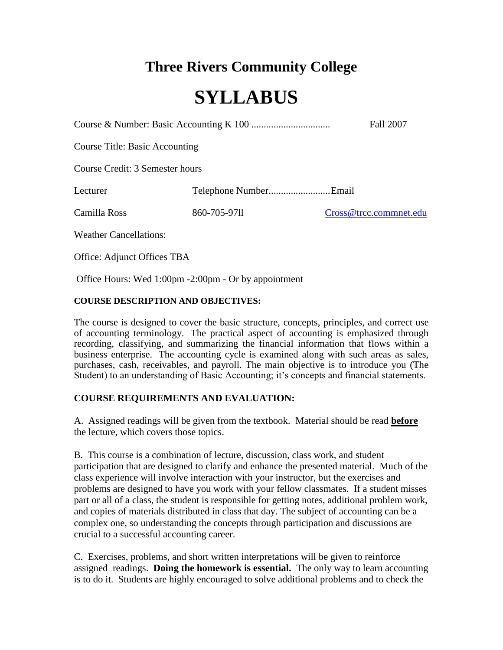# **Three Rivers Community College**

# **SYLLABUS**

Course & Number: Basic Accounting K 100 ................................ Fall 2007

Course Title: Basic Accounting

Course Credit: 3 Semester hours

Lecturer Telephone Number.........................Email

Camilla Ross 860-705-97ll [Cross@trcc.commnet.edu](mailto:Cross@trcc.commnet.edu)

Weather Cancellations:

Office: Adjunct Offices TBA

Office Hours: Wed 1:00pm -2:00pm - Or by appointment

# **COURSE DESCRIPTION AND OBJECTIVES:**

The course is designed to cover the basic structure, concepts, principles, and correct use of accounting terminology. The practical aspect of accounting is emphasized through recording, classifying, and summarizing the financial information that flows within a business enterprise. The accounting cycle is examined along with such areas as sales, purchases, cash, receivables, and payroll. The main objective is to introduce you (The Student) to an understanding of Basic Accounting; it's concepts and financial statements.

# **COURSE REQUIREMENTS AND EVALUATION:**

A. Assigned readings will be given from the textbook. Material should be read **before** the lecture, which covers those topics.

B. This course is a combination of lecture, discussion, class work, and student participation that are designed to clarify and enhance the presented material. Much of the class experience will involve interaction with your instructor, but the exercises and problems are designed to have you work with your fellow classmates. If a student misses part or all of a class, the student is responsible for getting notes, additional problem work, and copies of materials distributed in class that day. The subject of accounting can be a complex one, so understanding the concepts through participation and discussions are crucial to a successful accounting career.

C. Exercises, problems, and short written interpretations will be given to reinforce assigned readings. **Doing the homework is essential.** The only way to learn accounting is to do it. Students are highly encouraged to solve additional problems and to check the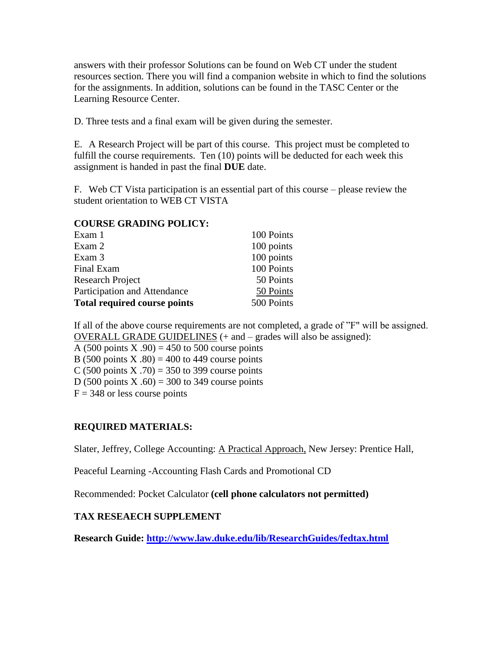answers with their professor Solutions can be found on Web CT under the student resources section. There you will find a companion website in which to find the solutions for the assignments. In addition, solutions can be found in the TASC Center or the Learning Resource Center.

D. Three tests and a final exam will be given during the semester.

E. A Research Project will be part of this course. This project must be completed to fulfill the course requirements. Ten (10) points will be deducted for each week this assignment is handed in past the final **DUE** date.

F. Web CT Vista participation is an essential part of this course – please review the student orientation to WEB CT VISTA

#### **COURSE GRADING POLICY:**

| Exam 1                              | 100 Points |
|-------------------------------------|------------|
| Exam 2                              | 100 points |
| Exam 3                              | 100 points |
| Final Exam                          | 100 Points |
| <b>Research Project</b>             | 50 Points  |
| Participation and Attendance        | 50 Points  |
| <b>Total required course points</b> | 500 Points |

If all of the above course requirements are not completed, a grade of "F" will be assigned. OVERALL GRADE GUIDELINES (+ and – grades will also be assigned): A (500 points X .90) = 450 to 500 course points

B (500 points X .80) = 400 to 449 course points

C (500 points X .70) = 350 to 399 course points

D (500 points X  $.60$ ) = 300 to 349 course points

 $F = 348$  or less course points

# **REQUIRED MATERIALS:**

Slater, Jeffrey, College Accounting: A Practical Approach, New Jersey: Prentice Hall,

Peaceful Learning -Accounting Flash Cards and Promotional CD

Recommended: Pocket Calculator **(cell phone calculators not permitted)**

# **TAX RESEAECH SUPPLEMENT**

**Research Guide:<http://www.law.duke.edu/lib/ResearchGuides/fedtax.html>**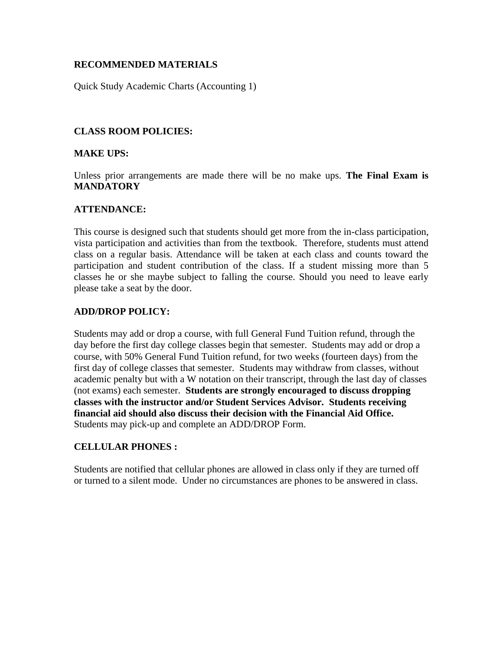# **RECOMMENDED MATERIALS**

Quick Study Academic Charts (Accounting 1)

# **CLASS ROOM POLICIES:**

#### **MAKE UPS:**

Unless prior arrangements are made there will be no make ups. **The Final Exam is MANDATORY**

# **ATTENDANCE:**

This course is designed such that students should get more from the in-class participation, vista participation and activities than from the textbook. Therefore, students must attend class on a regular basis. Attendance will be taken at each class and counts toward the participation and student contribution of the class. If a student missing more than 5 classes he or she maybe subject to falling the course. Should you need to leave early please take a seat by the door.

# **ADD/DROP POLICY:**

Students may add or drop a course, with full General Fund Tuition refund, through the day before the first day college classes begin that semester. Students may add or drop a course, with 50% General Fund Tuition refund, for two weeks (fourteen days) from the first day of college classes that semester. Students may withdraw from classes, without academic penalty but with a W notation on their transcript, through the last day of classes (not exams) each semester. **Students are strongly encouraged to discuss dropping classes with the instructor and/or Student Services Advisor. Students receiving financial aid should also discuss their decision with the Financial Aid Office.** Students may pick-up and complete an ADD/DROP Form.

# **CELLULAR PHONES :**

Students are notified that cellular phones are allowed in class only if they are turned off or turned to a silent mode. Under no circumstances are phones to be answered in class.